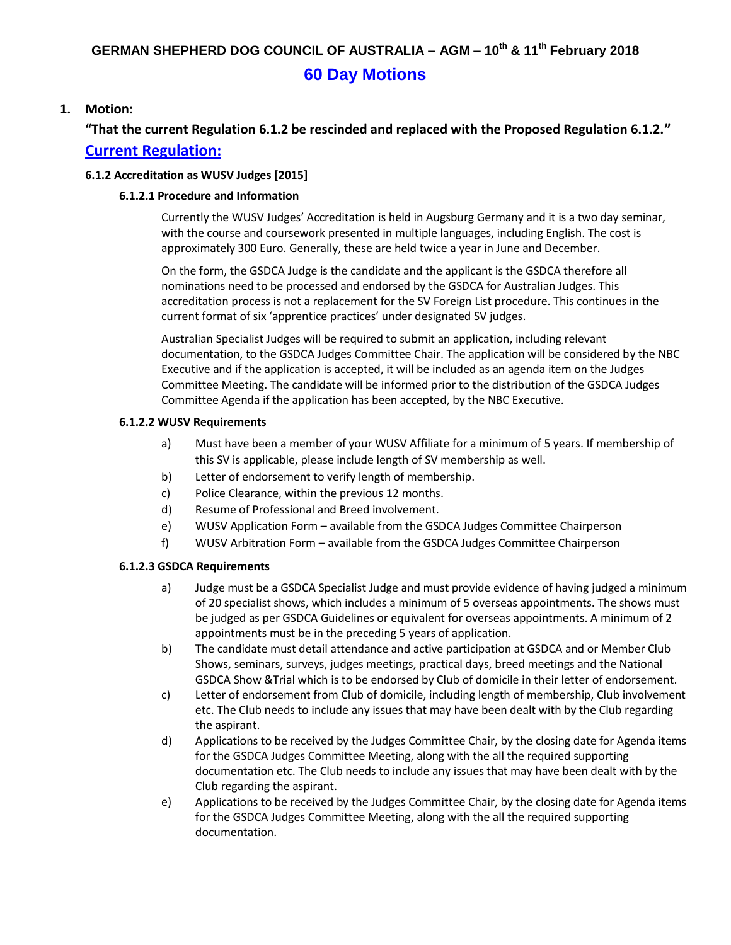# **60 Day Motions**

### **1. Motion:**

**"That the current Regulation 6.1.2 be rescinded and replaced with the Proposed Regulation 6.1.2." Current Regulation:**

#### **6.1.2 Accreditation as WUSV Judges [2015]**

#### **6.1.2.1 Procedure and Information**

Currently the WUSV Judges' Accreditation is held in Augsburg Germany and it is a two day seminar, with the course and coursework presented in multiple languages, including English. The cost is approximately 300 Euro. Generally, these are held twice a year in June and December.

On the form, the GSDCA Judge is the candidate and the applicant is the GSDCA therefore all nominations need to be processed and endorsed by the GSDCA for Australian Judges. This accreditation process is not a replacement for the SV Foreign List procedure. This continues in the current format of six 'apprentice practices' under designated SV judges.

Australian Specialist Judges will be required to submit an application, including relevant documentation, to the GSDCA Judges Committee Chair. The application will be considered by the NBC Executive and if the application is accepted, it will be included as an agenda item on the Judges Committee Meeting. The candidate will be informed prior to the distribution of the GSDCA Judges Committee Agenda if the application has been accepted, by the NBC Executive.

#### **6.1.2.2 WUSV Requirements**

- a) Must have been a member of your WUSV Affiliate for a minimum of 5 years. If membership of this SV is applicable, please include length of SV membership as well.
- b) Letter of endorsement to verify length of membership.
- c) Police Clearance, within the previous 12 months.
- d) Resume of Professional and Breed involvement.
- e) WUSV Application Form available from the GSDCA Judges Committee Chairperson
- f) WUSV Arbitration Form available from the GSDCA Judges Committee Chairperson

#### **6.1.2.3 GSDCA Requirements**

- a) Judge must be a GSDCA Specialist Judge and must provide evidence of having judged a minimum of 20 specialist shows, which includes a minimum of 5 overseas appointments. The shows must be judged as per GSDCA Guidelines or equivalent for overseas appointments. A minimum of 2 appointments must be in the preceding 5 years of application.
- b) The candidate must detail attendance and active participation at GSDCA and or Member Club Shows, seminars, surveys, judges meetings, practical days, breed meetings and the National GSDCA Show &Trial which is to be endorsed by Club of domicile in their letter of endorsement.
- c) Letter of endorsement from Club of domicile, including length of membership, Club involvement etc. The Club needs to include any issues that may have been dealt with by the Club regarding the aspirant.
- d) Applications to be received by the Judges Committee Chair, by the closing date for Agenda items for the GSDCA Judges Committee Meeting, along with the all the required supporting documentation etc. The Club needs to include any issues that may have been dealt with by the Club regarding the aspirant.
- e) Applications to be received by the Judges Committee Chair, by the closing date for Agenda items for the GSDCA Judges Committee Meeting, along with the all the required supporting documentation.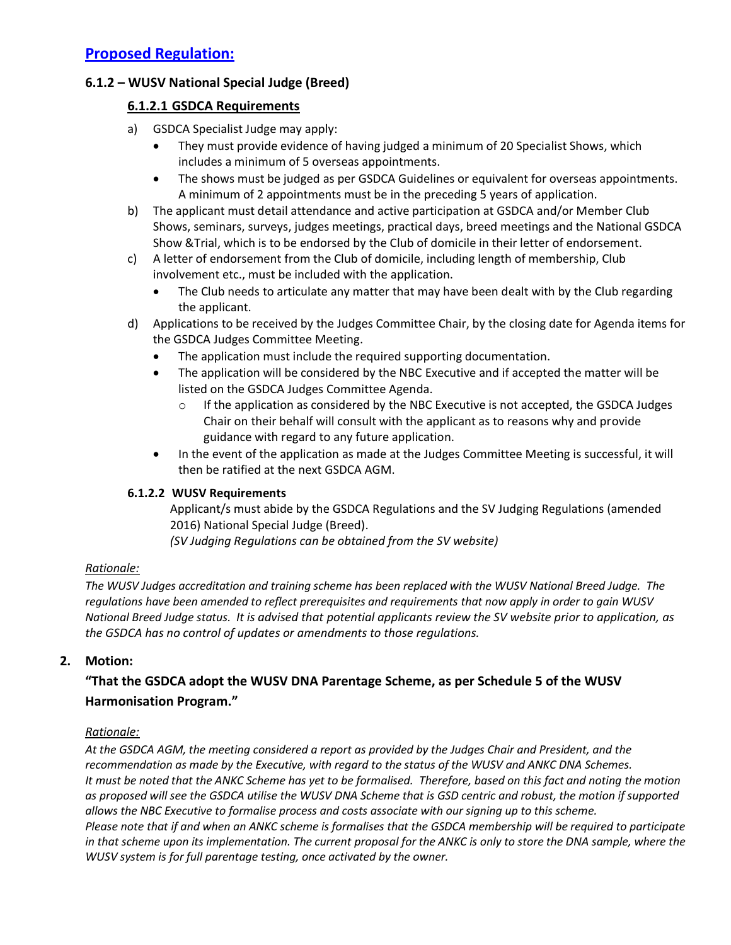## **6.1.2 – WUSV National Special Judge (Breed)**

### **6.1.2.1 GSDCA Requirements**

- a) GSDCA Specialist Judge may apply:
	- They must provide evidence of having judged a minimum of 20 Specialist Shows, which includes a minimum of 5 overseas appointments.
	- The shows must be judged as per GSDCA Guidelines or equivalent for overseas appointments. A minimum of 2 appointments must be in the preceding 5 years of application.
- b) The applicant must detail attendance and active participation at GSDCA and/or Member Club Shows, seminars, surveys, judges meetings, practical days, breed meetings and the National GSDCA Show &Trial, which is to be endorsed by the Club of domicile in their letter of endorsement.
- c) A letter of endorsement from the Club of domicile, including length of membership, Club involvement etc., must be included with the application.
	- The Club needs to articulate any matter that may have been dealt with by the Club regarding the applicant.
- d) Applications to be received by the Judges Committee Chair, by the closing date for Agenda items for the GSDCA Judges Committee Meeting.
	- The application must include the required supporting documentation.
	- The application will be considered by the NBC Executive and if accepted the matter will be listed on the GSDCA Judges Committee Agenda.
		- o If the application as considered by the NBC Executive is not accepted, the GSDCA Judges Chair on their behalf will consult with the applicant as to reasons why and provide guidance with regard to any future application.
	- In the event of the application as made at the Judges Committee Meeting is successful, it will then be ratified at the next GSDCA AGM.

#### **6.1.2.2 WUSV Requirements**

Applicant/s must abide by the GSDCA Regulations and the SV Judging Regulations (amended 2016) National Special Judge (Breed).

*(SV Judging Regulations can be obtained from the SV website)*

#### *Rationale:*

*The WUSV Judges accreditation and training scheme has been replaced with the WUSV National Breed Judge. The regulations have been amended to reflect prerequisites and requirements that now apply in order to gain WUSV National Breed Judge status. It is advised that potential applicants review the SV website prior to application, as the GSDCA has no control of updates or amendments to those regulations.*

### **2. Motion:**

# **"That the GSDCA adopt the WUSV DNA Parentage Scheme, as per Schedule 5 of the WUSV Harmonisation Program."**

#### *Rationale:*

*At the GSDCA AGM, the meeting considered a report as provided by the Judges Chair and President, and the recommendation as made by the Executive, with regard to the status of the WUSV and ANKC DNA Schemes. It must be noted that the ANKC Scheme has yet to be formalised. Therefore, based on this fact and noting the motion as proposed will see the GSDCA utilise the WUSV DNA Scheme that is GSD centric and robust, the motion if supported allows the NBC Executive to formalise process and costs associate with our signing up to this scheme. Please note that if and when an ANKC scheme is formalises that the GSDCA membership will be required to participate*  in that scheme upon its implementation. The current proposal for the ANKC is only to store the DNA sample, where the *WUSV system is for full parentage testing, once activated by the owner.*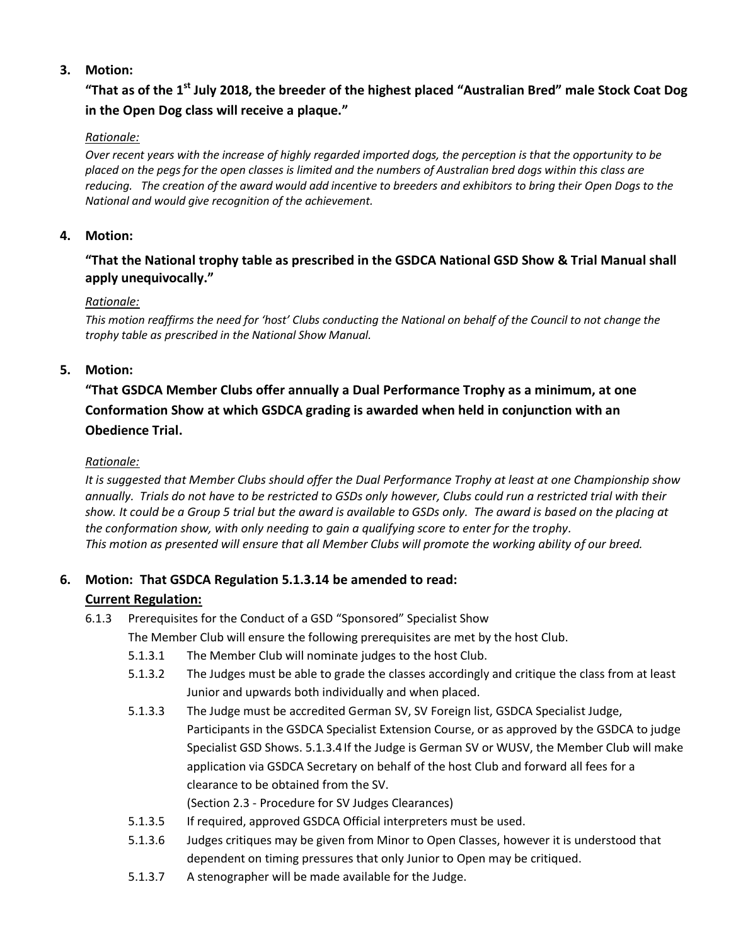### **3. Motion:**

# **"That as of the 1st July 2018, the breeder of the highest placed "Australian Bred" male Stock Coat Dog in the Open Dog class will receive a plaque."**

#### *Rationale:*

*Over recent years with the increase of highly regarded imported dogs, the perception is that the opportunity to be placed on the pegs for the open classes is limited and the numbers of Australian bred dogs within this class are reducing. The creation of the award would add incentive to breeders and exhibitors to bring their Open Dogs to the National and would give recognition of the achievement.*

#### **4. Motion:**

### **"That the National trophy table as prescribed in the GSDCA National GSD Show & Trial Manual shall apply unequivocally."**

#### *Rationale:*

*This motion reaffirms the need for 'host' Clubs conducting the National on behalf of the Council to not change the trophy table as prescribed in the National Show Manual.*

### **5. Motion:**

# **"That GSDCA Member Clubs offer annually a Dual Performance Trophy as a minimum, at one Conformation Show at which GSDCA grading is awarded when held in conjunction with an Obedience Trial.**

#### *Rationale:*

*It is suggested that Member Clubs should offer the Dual Performance Trophy at least at one Championship show annually. Trials do not have to be restricted to GSDs only however, Clubs could run a restricted trial with their*  show. It could be a Group 5 trial but the award is available to GSDs only. The award is based on the placing at *the conformation show, with only needing to gain a qualifying score to enter for the trophy. This motion as presented will ensure that all Member Clubs will promote the working ability of our breed.*

## **6. Motion: That GSDCA Regulation 5.1.3.14 be amended to read:**

#### **Current Regulation:**

6.1.3 Prerequisites for the Conduct of a GSD "Sponsored" Specialist Show

The Member Club will ensure the following prerequisites are met by the host Club.

- 5.1.3.1 The Member Club will nominate judges to the host Club.
- 5.1.3.2 The Judges must be able to grade the classes accordingly and critique the class from at least Junior and upwards both individually and when placed.
- 5.1.3.3 The Judge must be accredited German SV, SV Foreign list, GSDCA Specialist Judge, Participants in the GSDCA Specialist Extension Course, or as approved by the GSDCA to judge Specialist GSD Shows. 5.1.3.4If the Judge is German SV or WUSV, the Member Club will make application via GSDCA Secretary on behalf of the host Club and forward all fees for a clearance to be obtained from the SV.
	- (Section 2.3 Procedure for SV Judges Clearances)
- 5.1.3.5 If required, approved GSDCA Official interpreters must be used.
- 5.1.3.6 Judges critiques may be given from Minor to Open Classes, however it is understood that dependent on timing pressures that only Junior to Open may be critiqued.
- 5.1.3.7 A stenographer will be made available for the Judge.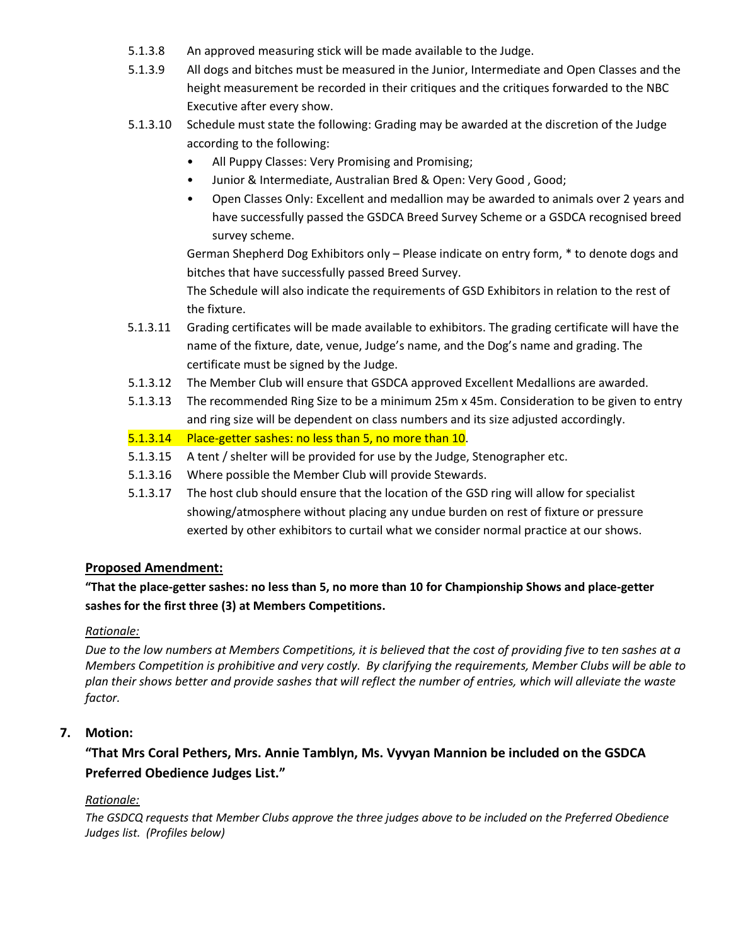- 5.1.3.8 An approved measuring stick will be made available to the Judge.
- 5.1.3.9 All dogs and bitches must be measured in the Junior, Intermediate and Open Classes and the height measurement be recorded in their critiques and the critiques forwarded to the NBC Executive after every show.
- 5.1.3.10 Schedule must state the following: Grading may be awarded at the discretion of the Judge according to the following:
	- All Puppy Classes: Very Promising and Promising;
	- Junior & Intermediate, Australian Bred & Open: Very Good , Good;
	- Open Classes Only: Excellent and medallion may be awarded to animals over 2 years and have successfully passed the GSDCA Breed Survey Scheme or a GSDCA recognised breed survey scheme.

German Shepherd Dog Exhibitors only – Please indicate on entry form, \* to denote dogs and bitches that have successfully passed Breed Survey.

The Schedule will also indicate the requirements of GSD Exhibitors in relation to the rest of the fixture.

- 5.1.3.11 Grading certificates will be made available to exhibitors. The grading certificate will have the name of the fixture, date, venue, Judge's name, and the Dog's name and grading. The certificate must be signed by the Judge.
- 5.1.3.12 The Member Club will ensure that GSDCA approved Excellent Medallions are awarded.
- 5.1.3.13 The recommended Ring Size to be a minimum 25m x 45m. Consideration to be given to entry and ring size will be dependent on class numbers and its size adjusted accordingly.

5.1.3.14 Place-getter sashes: no less than 5, no more than 10.

- 5.1.3.15 A tent / shelter will be provided for use by the Judge, Stenographer etc.
- 5.1.3.16 Where possible the Member Club will provide Stewards.
- 5.1.3.17 The host club should ensure that the location of the GSD ring will allow for specialist showing/atmosphere without placing any undue burden on rest of fixture or pressure exerted by other exhibitors to curtail what we consider normal practice at our shows.

#### **Proposed Amendment:**

**"That the place-getter sashes: no less than 5, no more than 10 for Championship Shows and place-getter sashes for the first three (3) at Members Competitions.**

#### *Rationale:*

*Due to the low numbers at Members Competitions, it is believed that the cost of providing five to ten sashes at a Members Competition is prohibitive and very costly. By clarifying the requirements, Member Clubs will be able to plan their shows better and provide sashes that will reflect the number of entries, which will alleviate the waste factor.*

#### **7. Motion:**

## **"That Mrs Coral Pethers, Mrs. Annie Tamblyn, Ms. Vyvyan Mannion be included on the GSDCA Preferred Obedience Judges List."**

#### *Rationale:*

*The GSDCQ requests that Member Clubs approve the three judges above to be included on the Preferred Obedience Judges list. (Profiles below)*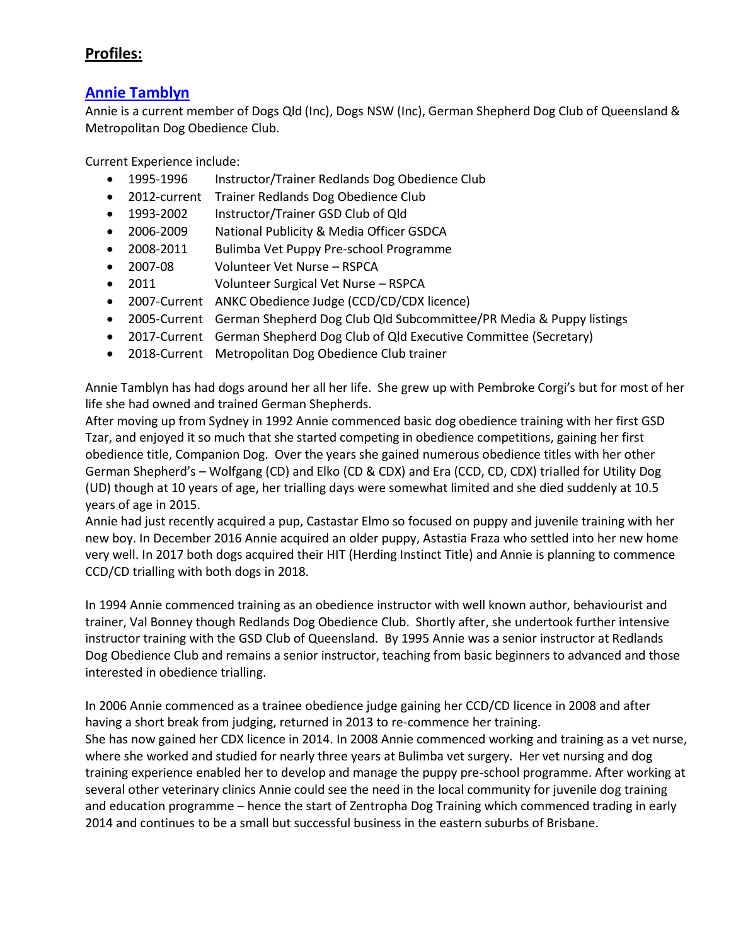# **Profiles:**

## **Annie Tamblyn**

Annie is a current member of Dogs Qld (Inc), Dogs NSW (Inc), German Shepherd Dog Club of Queensland & Metropolitan Dog Obedience Club.

Current Experience include:

- 1995-1996 Instructor/Trainer Redlands Dog Obedience Club
- 2012-current Trainer Redlands Dog Obedience Club
- 1993-2002 Instructor/Trainer GSD Club of Qld
- 2006-2009 National Publicity & Media Officer GSDCA
- 2008-2011 Bulimba Vet Puppy Pre-school Programme
- 2007-08 Volunteer Vet Nurse RSPCA
- 2011 Volunteer Surgical Vet Nurse RSPCA
- 2007-Current ANKC Obedience Judge (CCD/CD/CDX licence)
- 2005-Current German Shepherd Dog Club Qld Subcommittee/PR Media & Puppy listings
- 2017-Current German Shepherd Dog Club of Qld Executive Committee (Secretary)
- 2018-Current Metropolitan Dog Obedience Club trainer

Annie Tamblyn has had dogs around her all her life. She grew up with Pembroke Corgi's but for most of her life she had owned and trained German Shepherds.

After moving up from Sydney in 1992 Annie commenced basic dog obedience training with her first GSD Tzar, and enjoyed it so much that she started competing in obedience competitions, gaining her first obedience title, Companion Dog. Over the years she gained numerous obedience titles with her other German Shepherd's – Wolfgang (CD) and Elko (CD & CDX) and Era (CCD, CD, CDX) trialled for Utility Dog (UD) though at 10 years of age, her trialling days were somewhat limited and she died suddenly at 10.5 years of age in 2015.

Annie had just recently acquired a pup, Castastar Elmo so focused on puppy and juvenile training with her new boy. In December 2016 Annie acquired an older puppy, Astastia Fraza who settled into her new home very well. In 2017 both dogs acquired their HIT (Herding Instinct Title) and Annie is planning to commence CCD/CD trialling with both dogs in 2018.

In 1994 Annie commenced training as an obedience instructor with well known author, behaviourist and trainer, Val Bonney though Redlands Dog Obedience Club. Shortly after, she undertook further intensive instructor training with the GSD Club of Queensland. By 1995 Annie was a senior instructor at Redlands Dog Obedience Club and remains a senior instructor, teaching from basic beginners to advanced and those interested in obedience trialling.

In 2006 Annie commenced as a trainee obedience judge gaining her CCD/CD licence in 2008 and after having a short break from judging, returned in 2013 to re-commence her training. She has now gained her CDX licence in 2014. In 2008 Annie commenced working and training as a vet nurse, where she worked and studied for nearly three years at Bulimba vet surgery. Her vet nursing and dog training experience enabled her to develop and manage the puppy pre-school programme. After working at several other veterinary clinics Annie could see the need in the local community for juvenile dog training and education programme – hence the start of Zentropha Dog Training which commenced trading in early 2014 and continues to be a small but successful business in the eastern suburbs of Brisbane.